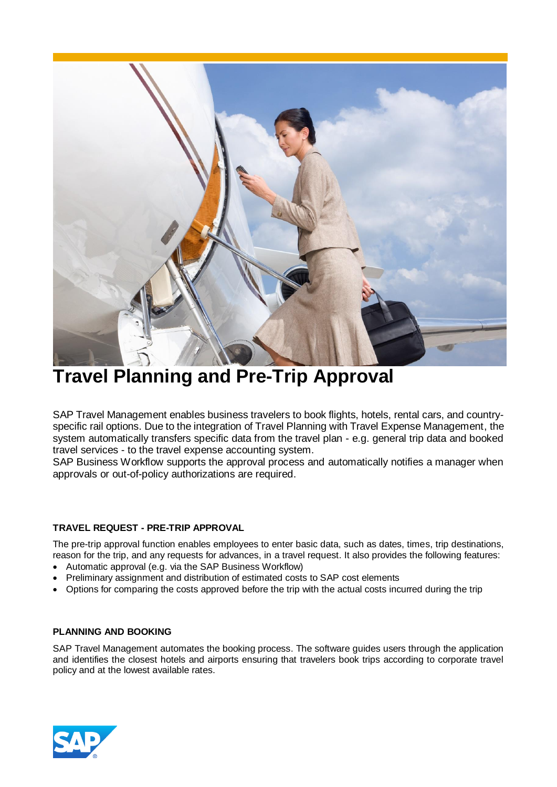

# **Travel Planning and Pre-Trip Approval**

SAP Travel Management enables business travelers to book flights, hotels, rental cars, and countryspecific rail options. Due to the integration of Travel Planning with Travel Expense Management, the system automatically transfers specific data from the travel plan - e.g. general trip data and booked travel services - to the travel expense accounting system.

SAP Business Workflow supports the approval process and automatically notifies a manager when approvals or out-of-policy authorizations are required.

# **TRAVEL REQUEST - PRE-TRIP APPROVAL**

The pre-trip approval function enables employees to enter basic data, such as dates, times, trip destinations, reason for the trip, and any requests for advances, in a travel request. It also provides the following features:

- Automatic approval (e.g. via the SAP Business Workflow)
- Preliminary assignment and distribution of estimated costs to SAP cost elements
- Options for comparing the costs approved before the trip with the actual costs incurred during the trip

## **PLANNING AND BOOKING**

SAP Travel Management automates the booking process. The software guides users through the application and identifies the closest hotels and airports ensuring that travelers book trips according to corporate travel policy and at the lowest available rates.